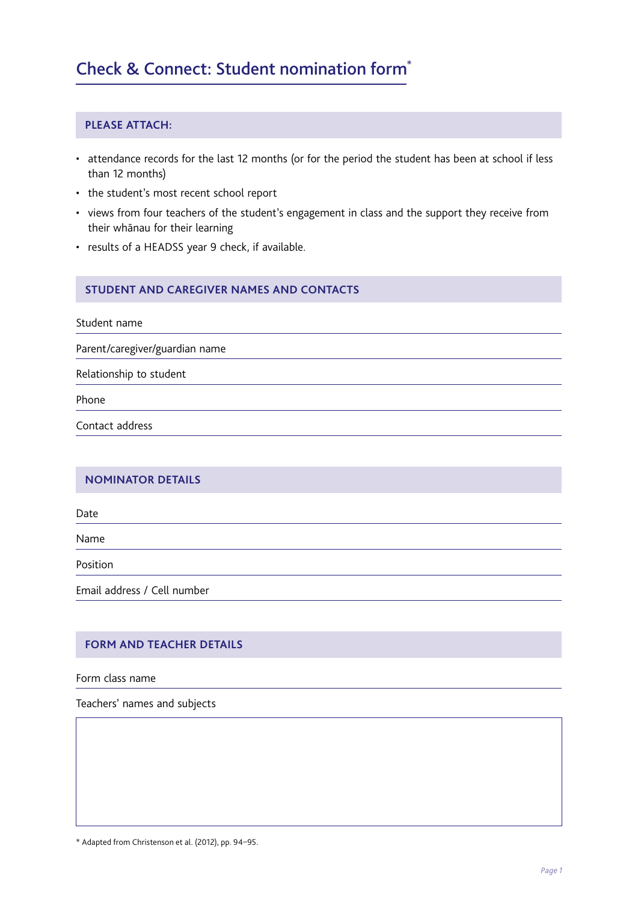# Check & Connect: Student nomination form\*

## **PLEASE ATTACH:**

- attendance records for the last 12 months (or for the period the student has been at school if less than 12 months)
- the student's most recent school report
- views from four teachers of the student's engagement in class and the support they receive from their whānau for their learning
- results of a HEADSS year 9 check, if available.

#### **STUDENT AND CAREGIVER NAMES AND CONTACTS**

Student name

Parent/caregiver/guardian name

Relationship to student

Phone

Contact address

#### **NOMINATOR DETAILS**

Date

Name

Position

Email address / Cell number

## **FORM AND TEACHER DETAILS**

Form class name

Teachers' names and subjects

\* Adapted from Christenson et al. (2012), pp. 94–95.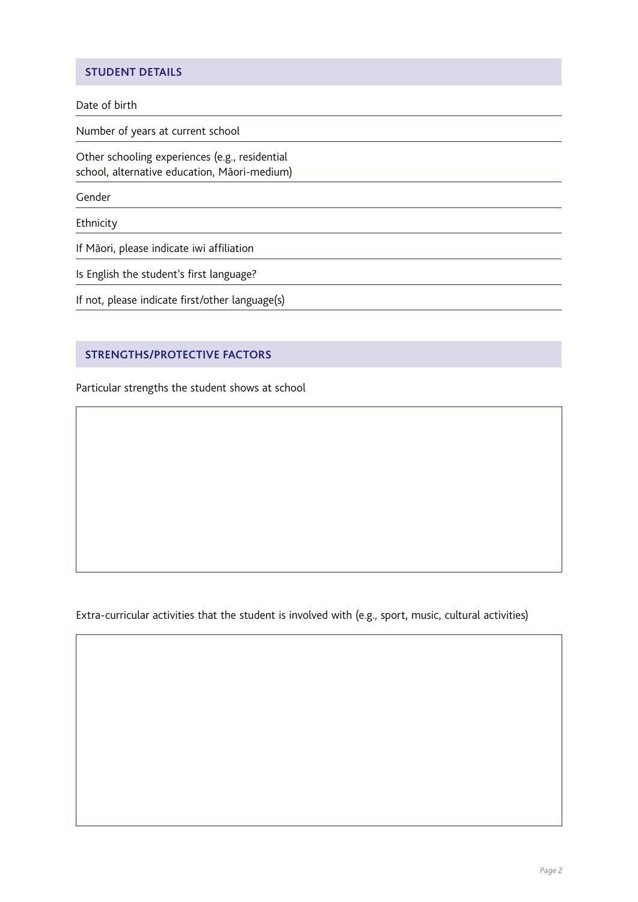# **STUDENT DETAILS**

#### Date of birth

Number of years at current school

Other schooling experiences (e.g., residential school, alternative education, Māori-medium)

Gender

Ethnicity

If Māori, please indicate iwi affiliation

Is English the student's first language?

If not, please indicate first/other language(s)

### **STRENGTHS/PROTECTIVE FACTORS**

Particular strengths the student shows at school

Extra-curricular activities that the student is involved with (e.g., sport, music, cultural activities)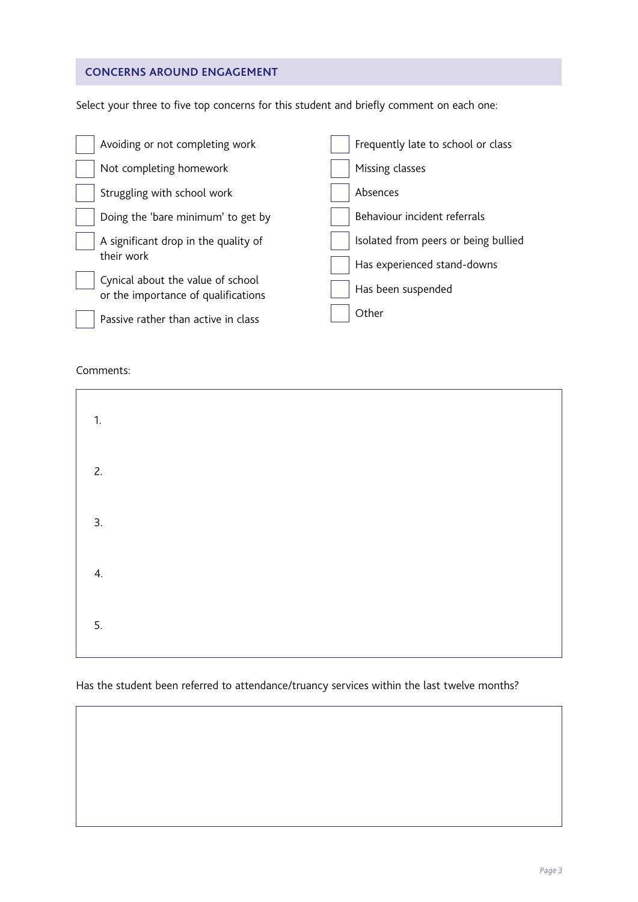# **CONCERNS AROUND ENGAGEMENT**

Select your three to five top concerns for this student and briefly comment on each one:

| Avoiding or not completing work                                          | Frequently late to school or class   |
|--------------------------------------------------------------------------|--------------------------------------|
| Not completing homework                                                  | Missing classes                      |
| Struggling with school work                                              | Absences                             |
| Doing the 'bare minimum' to get by                                       | Behaviour incident referrals         |
| A significant drop in the quality of                                     | Isolated from peers or being bullied |
| their work                                                               | Has experienced stand-downs          |
| Cynical about the value of school<br>or the importance of qualifications | Has been suspended                   |
| Passive rather than active in class                                      | Other                                |

#### Comments:

| 1. |  |  |
|----|--|--|
| 2. |  |  |
| 3. |  |  |
| 4. |  |  |
| 5. |  |  |

Has the student been referred to attendance/truancy services within the last twelve months?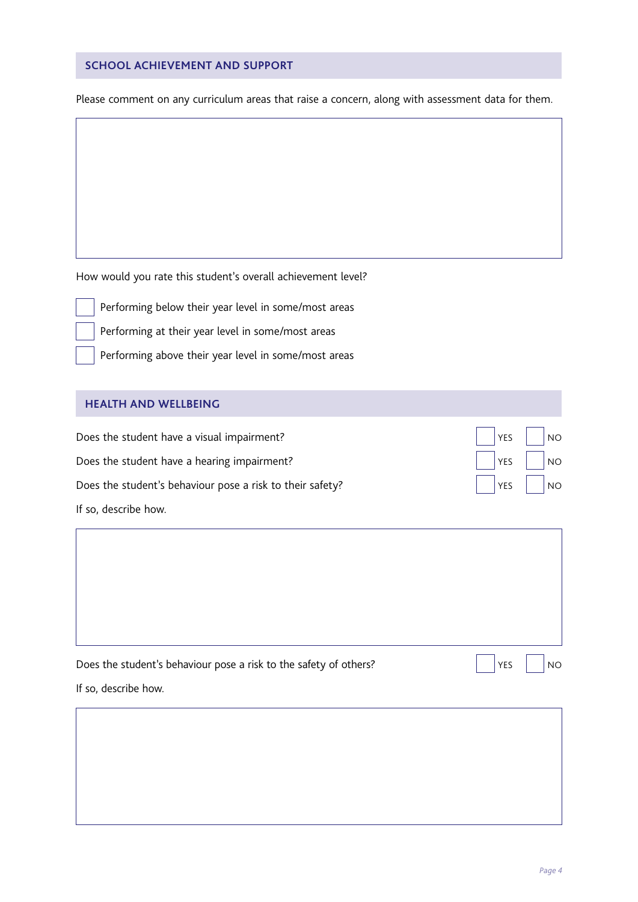# **SCHOOL ACHIEVEMENT AND SUPPORT**

Please comment on any curriculum areas that raise a concern, along with assessment data for them.

How would you rate this student's overall achievement level?

Performing below their year level in some/most areas

Performing at their year level in some/most areas

Performing above their year level in some/most areas

#### **HEALTH AND WELLBEING**

| Does the student have a visual impairment?                | $\vert$ $\vert$ YES $\vert$ $\vert$ NO |  |
|-----------------------------------------------------------|----------------------------------------|--|
| Does the student have a hearing impairment?               | $\left \right $   YES     NO           |  |
| Does the student's behaviour pose a risk to their safety? | $\left \right $   YES     NO           |  |
| If so, describe how.                                      |                                        |  |

| Does the student's behaviour pose a risk to the safety of others? | YES | NO. |
|-------------------------------------------------------------------|-----|-----|

If so, describe how.